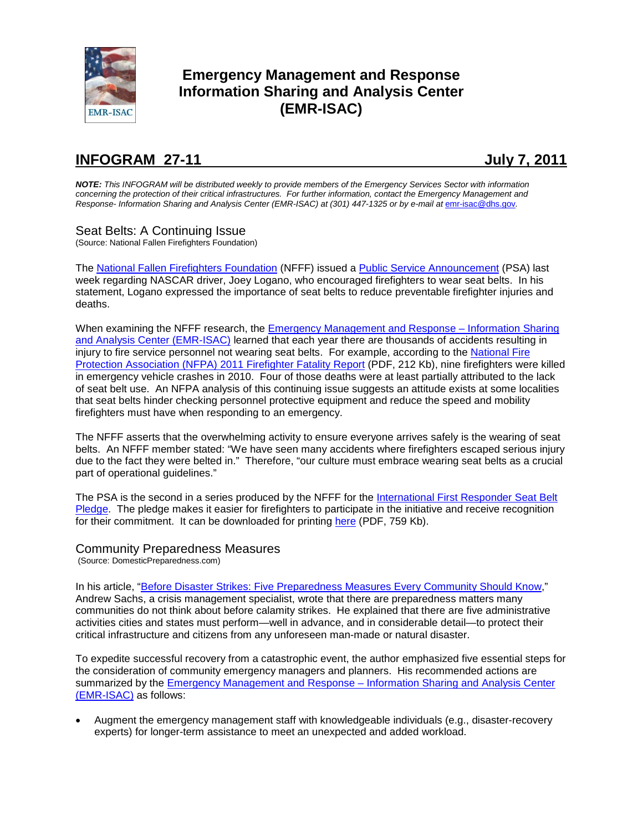

# **Emergency Management and Response Information Sharing and Analysis Center (EMR-ISAC)**

# **INFOGRAM 27-11 July 7, 2011**

*NOTE: This INFOGRAM will be distributed weekly to provide members of the Emergency Services Sector with information concerning the protection of their critical infrastructures. For further information, contact the Emergency Management and Response-* Information Sharing and Analysis Center (EMR-ISAC) at (301) 447-1325 or by e-mail at [emr-isac@dhs.gov](mailto:emr-isac@dhs.gov).

# Seat Belts: A Continuing Issue

(Source: National Fallen Firefighters Foundation)

The [National Fallen Firefighters Foundation](http://www.firehero.org/) (NFFF) issued a [Public Service Announcement](http://everyonegoeshome.com/seatbelts/news/2011/release_062911.html) (PSA) last week regarding NASCAR driver, Joey Logano, who encouraged firefighters to wear seat belts. In his statement, Logano expressed the importance of seat belts to reduce preventable firefighter injuries and deaths.

When examining the NFFF research, the **Emergency Management and Response** – Information Sharing [and Analysis Center \(EMR-ISAC\)](https://www.usfa.dhs.gov/fireservice/subjects/emr-isac/index.shtm) learned that each year there are thousands of accidents resulting in injury to fire service personnel not wearing seat belts. For example, according to the [National Fire](http://www.nfpa.org/assets/files/PDF/osfff.pdf)  [Protection Association \(NFPA\) 2011 Firefighter Fatality Report](http://www.nfpa.org/assets/files/PDF/osfff.pdf) (PDF, 212 Kb), nine firefighters were killed in emergency vehicle crashes in 2010. Four of those deaths were at least partially attributed to the lack of seat belt use. An NFPA analysis of this continuing issue suggests an attitude exists at some localities that seat belts hinder checking personnel protective equipment and reduce the speed and mobility firefighters must have when responding to an emergency.

The NFFF asserts that the overwhelming activity to ensure everyone arrives safely is the wearing of seat belts. An NFFF member stated: "We have seen many accidents where firefighters escaped serious injury due to the fact they were belted in." Therefore, "our culture must embrace wearing seat belts as a crucial part of operational guidelines."

The PSA is the second in a series produced by the NFFF for the International First Responder Seat Belt [Pledge.](http://everyonegoeshome.com/seatbelts/about) The pledge makes it easier for firefighters to participate in the initiative and receive recognition for their commitment. It can be downloaded for printing [here](http://everyonegoeshome.com/seatbelts/pledgesheet.pdf) (PDF, 759 Kb).

# Community Preparedness Measures

(Source: DomesticPreparedness.com)

In his article, ["Before Disaster Strikes: Five Preparedness Measures](http://www.domesticpreparedness.com/Commentary/Viewpoint/Before_Disaster_Strikes:_Five_Preparedness_Measures_Every_Community_Should_Know) Every Community Should Know," Andrew Sachs, a crisis management specialist, wrote that there are preparedness matters many communities do not think about before calamity strikes. He explained that there are five administrative activities cities and states must perform—well in advance, and in considerable detail—to protect their critical infrastructure and citizens from any unforeseen man-made or natural disaster.

To expedite successful recovery from a catastrophic event, the author emphasized five essential steps for the consideration of community emergency managers and planners. His recommended actions are summarized by the [Emergency Management and Response –](https://www.usfa.dhs.gov/fireservice/subjects/emr-isac/index.shtm) Information Sharing and Analysis Center [\(EMR-ISAC\)](https://www.usfa.dhs.gov/fireservice/subjects/emr-isac/index.shtm) as follows:

• Augment the emergency management staff with knowledgeable individuals (e.g., disaster-recovery experts) for longer-term assistance to meet an unexpected and added workload.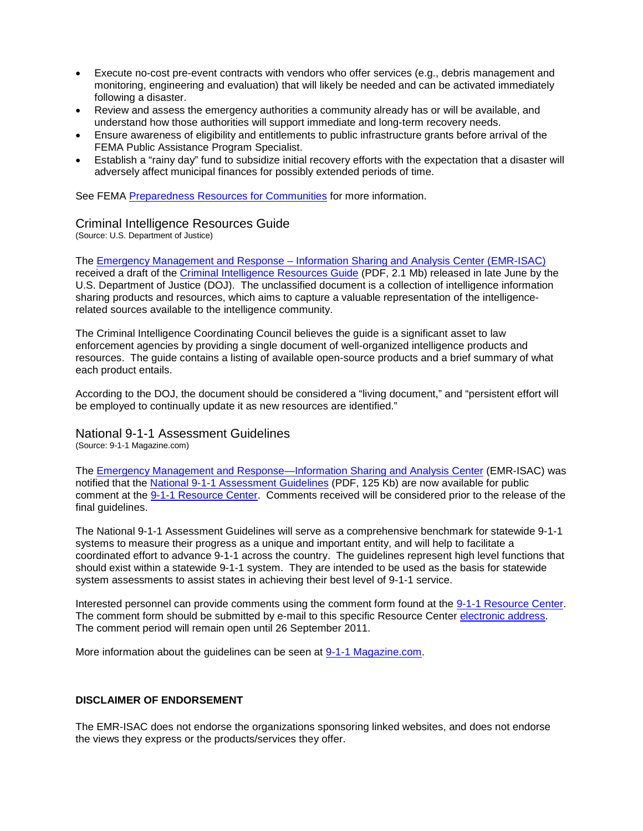- Execute no-cost pre-event contracts with vendors who offer services (e.g., debris management and monitoring, engineering and evaluation) that will likely be needed and can be activated immediately following a disaster.
- Review and assess the emergency authorities a community already has or will be available, and understand how those authorities will support immediate and long-term recovery needs.
- Ensure awareness of eligibility and entitlements to public infrastructure grants before arrival of the FEMA Public Assistance Program Specialist.
- Establish a "rainy day" fund to subsidize initial recovery efforts with the expectation that a disaster will adversely affect municipal finances for possibly extended periods of time.

See FEMA [Preparedness Resources for Communities](http://www.fema.gov/about/odic/preparedness.shtm#1) for more information.

## Criminal Intelligence Resources Guide

(Source: U.S. Department of Justice)

The Emergency Management and Response – [Information Sharing and Analysis Center \(EMR-ISAC\)](https://www.usfa.dhs.gov/fireservice/subjects/emr-isac/index.shtm) received a draft of the [Criminal Intelligence Resources Guide](https://www.hsdl.org/?view&doc=143675&coll=limited) (PDF, 2.1 Mb) released in late June by the U.S. Department of Justice (DOJ). The unclassified document is a collection of intelligence information sharing products and resources, which aims to capture a valuable representation of the intelligencerelated sources available to the intelligence community.

The Criminal Intelligence Coordinating Council believes the guide is a significant asset to law enforcement agencies by providing a single document of well-organized intelligence products and resources. The guide contains a listing of available open-source products and a brief summary of what each product entails.

According to the DOJ, the document should be considered a "living document," and "persistent effort will be employed to continually update it as new resources are identified."

National 9-1-1 Assessment Guidelines

(Source: 9-1-1 Magazine.com)

The **Emergency Management and Response—Information Sharing and Analysis Center (EMR-ISAC) was** notified that the [National 9-1-1 Assessment Guidelines](https://www.911resourcecenter.org/911Guidelines/Press_Release_Guidelines_Release_for_Comment.pdf) (PDF, 125 Kb) are now available for public comment at the [9-1-1 Resource Center.](http://www.911resourcecenter.org/911Guidelines) Comments received will be considered prior to the release of the final guidelines.

The National 9-1-1 Assessment Guidelines will serve as a comprehensive benchmark for statewide 9-1-1 systems to measure their progress as a unique and important entity, and will help to facilitate a coordinated effort to advance 9-1-1 across the country. The guidelines represent high level functions that should exist within a statewide 9-1-1 system. They are intended to be used as the basis for statewide system assessments to assist states in achieving their best level of 9-1-1 service.

Interested personnel can provide comments using the comment form found at the [9-1-1 Resource Center.](http://www.911resourcecenter.org/911Guidelines) The comment form should be submitted by e-mail to this specific Resource Center [electronic address.](mailto:info@911resourcecenter.org) The comment period will remain open until 26 September 2011.

More information about the guidelines can be seen at [9-1-1 Magazine.com.](http://www.9-1-1magazine.com/PPT-911-Assessment-Guidelines-Public-Comment)

#### **DISCLAIMER OF ENDORSEMENT**

The EMR-ISAC does not endorse the organizations sponsoring linked websites, and does not endorse the views they express or the products/services they offer.